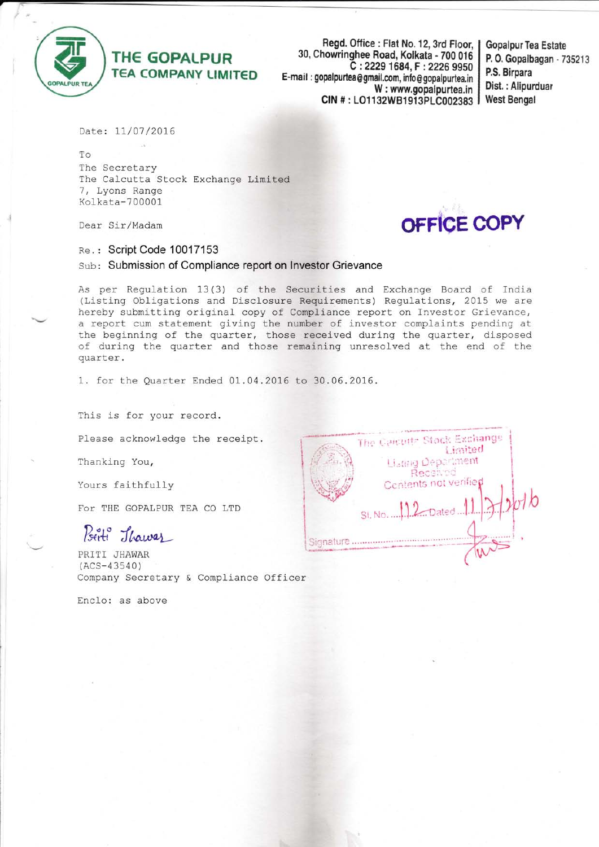

## THE GOPALPUR TEA COMPANY LIMITED

Regd. Office: Flat No. 12, 3rd Floor, | 30, Chowringhee Road, Kolkata - 700 016 C :2229 1684, F : 2226 gg50 E-mail: gopalpurtea@gmail.com, info@gopalpurtea.in W : www.gopalpurtea.in CIN #: LO1132WB1913PLC002383

Gopalpur Tea Estate P. 0. Gopalbagan - 735213 P.S, Birpara Dist. : Alipurduar West Bengal

Date: 11/07/2016

To The Secretary The Calcutta Stock Exchange Limited <sup>1</sup>, Lyons Range Kclkata-700001

Dear Sir/Madam

## Re.: Script Code 10017153

Sub: Submission of Compliance report on Investor Grievance

As per Regulation 13 (3) of the Securities and Exchange Board of India (Listing Obligations and Disclosure Requirements) Regulations, 2015 we are hereby submitting original copy of Compliance report on Investor Grievance, a report cum statement giving the number of investor complaints pending at the beginning of the quarter, those received during the quarter, disposed of during the quarter and those remaining unresolved at the end of the quarter.

1. for the Quarter Ended 01.04.2016 to 30.06.2016.

This is for your record.

Please acknowledge the receipt.

Thanking You,

Yours faithfully

FoT THE GOPALPUR TEA CO LTD

Birti Jhawar

PRITI JHAWAR (ACS-43s40) Company Secretary & Compliance Officer

Enclo: as above

| The Gaidette Stock Exchange<br>Limited<br>Lisang Department |  |
|-------------------------------------------------------------|--|
| Received<br>Centents not verified                           |  |
| St. No. 12 Dated                                            |  |
| Signature                                                   |  |

OFFICE COPY